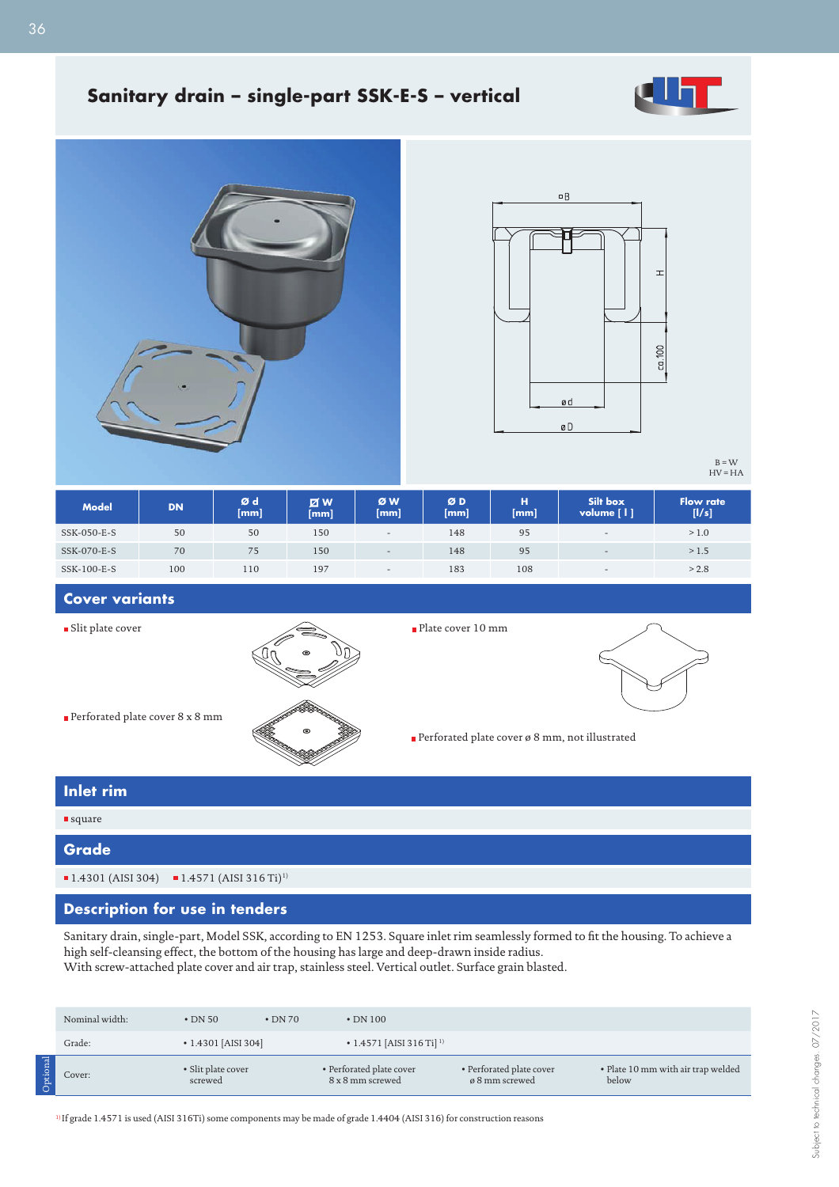

## **Sanitary drain – single-part SSK-E-S – vertical**





B = W HV = HA

| <b>Model</b> | <b>DN</b> | Ød<br>[mm] | <b>ZW</b><br>[mm] | ØW<br>[mm]               | ØD<br>[mm] | н<br>[mm] | Silt box<br>volume [   ] | <b>Flow rate</b><br>[1/s] |
|--------------|-----------|------------|-------------------|--------------------------|------------|-----------|--------------------------|---------------------------|
| SSK-050-E-S  | 50        | 50         | 150               | $\overline{\phantom{a}}$ | 148        | 95        | $\overline{\phantom{a}}$ | > 1.0                     |
| SSK-070-E-S  | 70        | 75         | 150               | $\overline{\phantom{0}}$ | 148        | 95        | $\sim$                   | >1.5                      |
| SSK-100-E-S  | 100       | 110        | 197               | $\overline{\phantom{0}}$ | 183        | 108       | $\overline{\phantom{0}}$ | > 2.8                     |

**Cover variants**

**Slit plate cover** 



Plate cover 10 mm

Perforated plate cover ø 8 mm, not illustrated



Perforated plate cover 8 x 8 mm

# **Inlet rim**

### square

### **Grade**

 $1.4301$  (AISI 304)  $1.4571$  (AISI 316 Ti)<sup>1)</sup>

## **Description for use in tenders**

Sanitary drain, single-part, Model SSK, according to EN 1253. Square inlet rim seamlessly formed to fit the housing. To achieve a high self-cleansing effect, the bottom of the housing has large and deep-drawn inside radius. With screw-attached plate cover and air trap, stainless steel. Vertical outlet. Surface grain blasted.

Nominal width: • DN 50 • DN 70 • DN 100 Grade: • 1.4301 [AISI 304] • 1.4571 [AISI 316 Ti] <sup>1)</sup> Cover: • Slit plate cover screwed • Perforated plate cover 8 x 8 mm screwed • Perforated plate cover ø 8 mm screwed • Plate 10 mm with air trap welded below Optional

1) If grade 1.4571 is used (AISI 316Ti) some components may be made of grade 1.4404 (AISI 316) for construction reasons